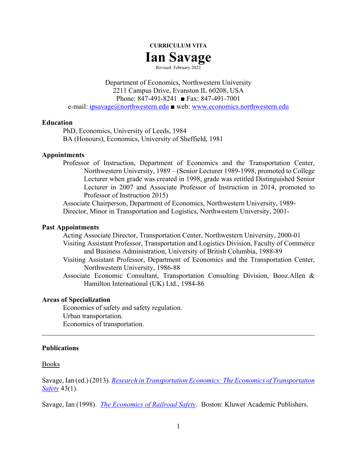

Revised: February 2022

Department of Economics, Northwestern University 2211 Campus Drive, Evanston IL 60208, USA Phone: 847-491-8241 ■ Fax: 847-491-7001 e-mail: [ipsavage@northwestern.edu](mailto:ipsavage@northwestern.edu) ■ web: [www.economics.northwestern.edu](http://www.economics.northwestern.edu/)

### **Education**

PhD, Economics, University of Leeds, 1984 BA (Honours), Economics, University of Sheffield, 1981

### **Appointments**

Professor of Instruction, Department of Economics and the Transportation Center, Northwestern University, 1989 – (Senior Lecturer 1989-1998, promoted to College Lecturer when grade was created in 1998, grade was retitled Distinguished Senior Lecturer in 2007 and Associate Professor of Instruction in 2014, promoted to Professor of Instruction 2015)

Associate Chairperson, Department of Economics, Northwestern University, 1989- Director, Minor in Transportation and Logistics, Northwestern University, 2001-

### **Past Appointments**

Acting Associate Director, Transportation Center, Northwestern University, 2000-01 Visiting Assistant Professor, Transportation and Logistics Division, Faculty of Commerce and Business Administration, University of British Columbia, 1988-89

- Visiting Assistant Professor, Department of Economics and the Transportation Center, Northwestern University, 1986-88
- Associate Economic Consultant, Transportation Consulting Division, Booz.Allen & Hamilton International (UK) Ltd., 1984-86

## **Areas of Specialization**

Economics of safety and safety regulation. Urban transportation. Economics of transportation.

### **Publications**

### Books

Savage, Ian (ed.) (2013). *[Research in Transportation Economics:](http://faculty.wcas.northwestern.edu/%7Eipsavage/safety-volume2.html) The Economics of Transportation [Safety](http://faculty.wcas.northwestern.edu/%7Eipsavage/safety-volume2.html)* 43(1).

Savage, Ian (1998). *[The Economics of Railroad Safety](http://faculty.wcas.northwestern.edu/%7Eipsavage/103-manuscript.pdf)*. Boston: Kluwer Academic Publishers.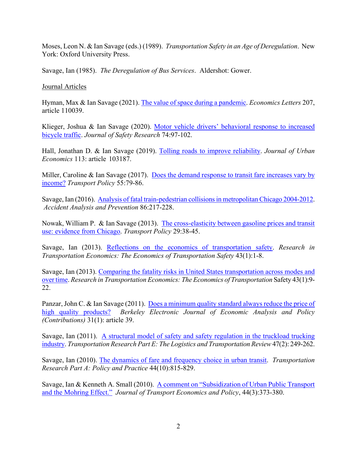Moses, Leon N. & Ian Savage (eds.) (1989). *Transportation Safety in an Age of Deregulation*. New York: Oxford University Press.

Savage, Ian (1985). *The Deregulation of Bus Services*. Aldershot: Gower.

# Journal Articles

Hyman, Max & Ian Savage (2021). [The value of space during a pandemic.](https://faculty.wcas.northwestern.edu/%7Eipsavage/442.pdf) *Economics Letters* 207, article 110039.

Klieger, Joshua & Ian Savage (2020). [Motor vehicle drivers' behavioral response to increased](http://faculty.wcas.northwestern.edu/%7Eipsavage/441.pdf)  [bicycle traffic.](http://faculty.wcas.northwestern.edu/%7Eipsavage/441.pdf) *Journal of Safety Research* 74:97-102.

Hall, Jonathan D. & Ian Savage (2019). [Tolling roads to improve reliability.](http://faculty.wcas.northwestern.edu/%7Eipsavage/440.pdf) *Journal of Urban Economics* 113: article 103187.

Miller, Caroline & Ian Savage (2017). [Does the demand response to transit fare increases](http://faculty.wcas.northwestern.edu/%7Eipsavage/439.pdf) vary by [income?](http://faculty.wcas.northwestern.edu/%7Eipsavage/439.pdf) *Transport Policy* 55:79-86.

Savage, Ian (2016). [Analysis of fatal train-pedestrian collisions in metropolitan Chicago](http://faculty.wcas.northwestern.edu/%7Eipsavage/438.pdf) 2004-2012. *Accident Analysis and Prevention* 86:217-228.

Nowak, William P. & Ian Savage (2013). [The cross-elasticity between gasoline prices and transit](http://faculty.wcas.northwestern.edu/%7Eipsavage/435.pdf)  [use: evidence from Chicago.](http://faculty.wcas.northwestern.edu/%7Eipsavage/435.pdf) *Transport Policy* 29:38-45.

Savage, Ian (2013). [Reflections on the economics of transportation safety.](http://faculty.wcas.northwestern.edu/%7Eipsavage/437.pdf) *Research in Transportation Economics: The Economics of Transportation Safety* 43(1):1-8.

Savage, Ian (2013). Comparing the fatality [risks in United States transportation across modes and](http://faculty.wcas.northwestern.edu/%7Eipsavage/436.pdf)  [over time.](http://faculty.wcas.northwestern.edu/%7Eipsavage/436.pdf) *Research in Transportation Economics: The Economics of Transportation* Safety 43(1):9- 22.

Panzar, John C. & Ian Savage (2011). Does a minimum quality standard always reduce the price of [high quality products?](http://faculty.wcas.northwestern.edu/%7Eipsavage/434.pdf) *Berkeley Electronic Journal of Economic Analysis and Policy (Contributions)* 31(1): article 39.

Savage, Ian (2011). [A structural model of safety and safety regulation in the truckload trucking](http://faculty.wcas.northwestern.edu/%7Eipsavage/433.pdf)  [industry.](http://faculty.wcas.northwestern.edu/%7Eipsavage/433.pdf) *Transportation Research Part E: The Logistics and Transportation Review*47(2): 249-262.

Savage, Ian (2010). [The dynamics of fare and frequency choice in urban transit.](http://faculty.wcas.northwestern.edu/%7Eipsavage/432.pdf) *Transportation Research Part A: Policy and Practice* 44(10):815-829.

Savage, Ian & Kenneth A. Small (2010). A comment on "Subsidization of Urban Public Transport and [the Mohring Effect."](http://faculty.wcas.northwestern.edu/%7Eipsavage/431.pdf) *Journal of Transport Economics and Policy*, 44(3):373-380.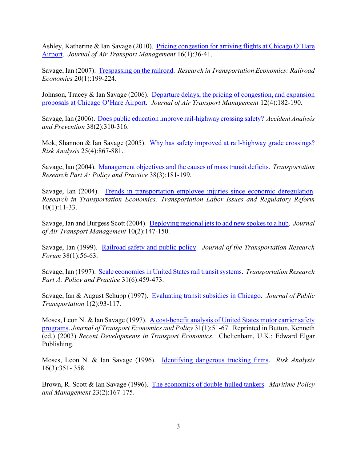Ashley, Katherine & Ian Savage (2010). Pricing congestion for arriving flights at Chicago O'Hare [Airport.](http://faculty.wcas.northwestern.edu/%7Eipsavage/430.pdf) *Journal of Air Transport Management* 16(1):36-41.

Savage, Ian (2007). [Trespassing on the railroad.](http://faculty.wcas.northwestern.edu/%7Eipsavage/211.pdf) *Research in Transportation Economics: Railroad Economics* 20(1):199-224.

Johnson, Tracey & Ian Savage (2006). [Departure delays, the pricing of congestion, and](http://faculty.wcas.northwestern.edu/%7Eipsavage/429.pdf) expansion proposals [at Chicago O'Hare Airport.](http://faculty.wcas.northwestern.edu/%7Eipsavage/429.pdf) *Journal of Air Transport Management* 12(4):182-190.

Savage, Ian (2006). [Does public education improve rail-highway crossing safety?](http://faculty.wcas.northwestern.edu/%7Eipsavage/428.pdf) *Accident Analysis and Prevention* 38(2):310-316.

Mok, Shannon & Ian Savage (2005). Why has safety improved at rail-highway grade crossings? *Risk Analysis* 25(4):867-881.

Savage, Ian (2004). [Management objectives and the causes of mass transit deficits.](http://faculty.wcas.northwestern.edu/%7Eipsavage/426.pdf) *Transportation Research Part A: Policy and Practice* 38(3):181-199*.*

Savage, Ian (2004). [Trends in transportation employee injuries since economic deregulation.](http://faculty.wcas.northwestern.edu/%7Eipsavage/209.pdf) *Research in Transportation Economics: Transportation Labor Issues and Regulatory Reform* 10(1):11-33.

Savage, Ian and Burgess Scott (2004). [Deploying regional jetsto add new spokes to a hub.](http://faculty.wcas.northwestern.edu/%7Eipsavage/425.pdf) *Journal of Air Transport Management* 10(2):147-150.

Savage, Ian (1999). [Railroad safety and public policy.](http://faculty.wcas.northwestern.edu/%7Eipsavage/424-manuscript.pdf) *Journal of the Transportation Research Forum* 38(1):56-63.

Savage, Ian (1997). [Scale economies in United States rail transit systems.](http://faculty.wcas.northwestern.edu/%7Eipsavage/423.pdf) *Transportation Research Part A: Policy and Practice* 31(6):459-473.

Savage, Ian & August Schupp (1997). Evaluating [transit subsidies in Chicago.](http://faculty.wcas.northwestern.edu/%7Eipsavage/422.pdf) *Journal of Public Transportation* 1(2):93-117.

Moses, Leon N. & Ian Savage (1997). [A cost-benefit analysis of United States motor carrier safety](http://faculty.wcas.northwestern.edu/%7Eipsavage/421.pdf)  [programs.](http://faculty.wcas.northwestern.edu/%7Eipsavage/421.pdf) *Journal of Transport Economics and Policy* 31(1):51-67. Reprinted in Button, Kenneth (ed.) (2003) *Recent Developments in Transport Economics*. Cheltenham, U.K.: Edward Elgar Publishing.

Moses, Leon N. & Ian Savage (1996). [Identifying dangerous trucking firms.](http://faculty.wcas.northwestern.edu/%7Eipsavage/420.pdf) *Risk Analysis* 16(3):351- 358.

Brown, R. Scott & Ian Savage (1996). [The economics of double-hulled tankers.](http://faculty.wcas.northwestern.edu/%7Eipsavage/419.pdf) *Maritime Policy and Management* 23(2):167-175.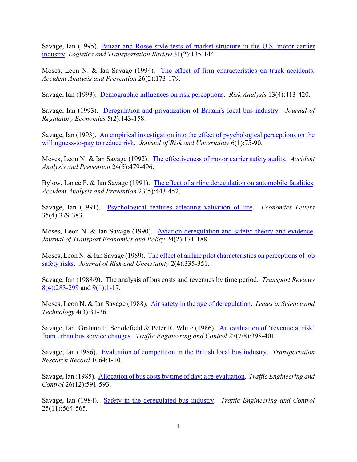Savage, Ian (1995). [Panzar and Rosse style tests of market structure in the U.S. motor carrier](http://faculty.wcas.northwestern.edu/%7Eipsavage/418.pdf)  [industry.](http://faculty.wcas.northwestern.edu/%7Eipsavage/418.pdf) *Logistics and Transportation Review* 31(2):135-144.

Moses, Leon N. & Ian Savage (1994). The effect of [firm characteristics on truck accidents.](http://faculty.wcas.northwestern.edu/%7Eipsavage/417.pdf) *Accident Analysis and Prevention* 26(2):173-179.

Savage, Ian (1993). [Demographic influences on risk perceptions.](http://faculty.wcas.northwestern.edu/%7Eipsavage/416.pdf) *Risk Analysis* 13(4):413-420.

Savage, Ian (1993). [Deregulation and privatization of Britain's local bus industry.](http://faculty.wcas.northwestern.edu/%7Eipsavage/415.pdf) *Journal of Regulatory Economics* 5(2):143-158.

Savage, Ian (1993). An [empirical investigation into the effect of psychological perceptions on the](http://faculty.wcas.northwestern.edu/%7Eipsavage/414.pdf)  [willingness-to-pay to reduce risk.](http://faculty.wcas.northwestern.edu/%7Eipsavage/414.pdf) *Journal of Risk and Uncertainty* 6(1):75-90.

Moses, Leon N. & Ian Savage (1992). [The effectiveness of motor](http://faculty.wcas.northwestern.edu/%7Eipsavage/413.pdf) carrier safety audits. *Accident Analysis and Prevention* 24(5):479-496.

Bylow, Lance F. & Ian Savage (1991). [The effect of airline deregulation on automobile fatalities.](http://faculty.wcas.northwestern.edu/%7Eipsavage/412.pdf) *Accident Analysis and Prevention* 23(5):443-452.

Savage, Ian (1991). [Psychological features affecting valuation of life.](http://faculty.wcas.northwestern.edu/%7Eipsavage/411.pdf) *Economics Letters* 35(4):379-383.

Moses, Leon N. & Ian Savage (1990). [Aviation deregulation and safety: theory and evidence.](http://faculty.wcas.northwestern.edu/%7Eipsavage/410.pdf) *Journal of Transport Economics and Policy* 24(2):171-188.

Moses, Leon N. & Ian Savage (1989). [The effect of airline pilot characteristics on perceptions of job](http://faculty.wcas.northwestern.edu/%7Eipsavage/409.pdf)  [safety risks.](http://faculty.wcas.northwestern.edu/%7Eipsavage/409.pdf) *Journal of Risk and Uncertainty* 2(4):335-351.

Savage, Ian (1988/9). The analysis of bus costs and revenues by time period. *Transport Reviews* [8\(4\):283-299](http://faculty.wcas.northwestern.edu/%7Eipsavage/408a.pdf) and [9\(1\):1-17.](http://faculty.wcas.northwestern.edu/%7Eipsavage/408b.pdf)

Moses, Leon N. & Ian Savage (1988). [Air safety in the age of deregulation.](http://faculty.wcas.northwestern.edu/%7Eipsavage/407.pdf) *Issues in Science and Technology* 4(3):31-36.

Savage, Ian, Graham P. Scholefield & Peter R. White (1986). [An evaluation of](http://faculty.wcas.northwestern.edu/%7Eipsavage/406.pdf) 'revenue at risk' [from urban bus service changes.](http://faculty.wcas.northwestern.edu/%7Eipsavage/406.pdf) *Traffic Engineering and Control* 27(7/8):398-401.

Savage, Ian (1986). [Evaluation of competition in the British local bus industry.](http://faculty.wcas.northwestern.edu/%7Eipsavage/405.pdf) *Transportation Research Record* 1064:1-10.

Savage, Ian (1985). Allocation of [bus costs by time of day: a re-evaluation.](http://faculty.wcas.northwestern.edu/%7Eipsavage/404.pdf) *Traffic Engineering and Control* 26(12):591-593.

Savage, Ian (1984). [Safety in the deregulated bus industry.](http://faculty.wcas.northwestern.edu/%7Eipsavage/403.pdf) *Traffic Engineering and Control* 25(11):564-565.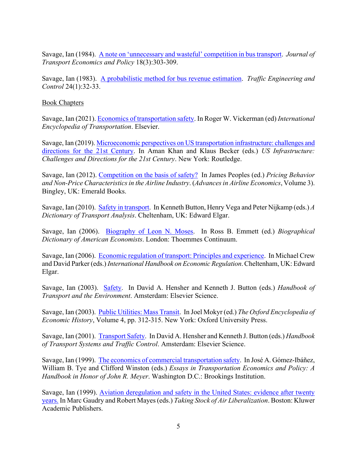Savage, Ian (1984). [A note on 'unnecessary and wasteful'](http://faculty.wcas.northwestern.edu/%7Eipsavage/402.pdf) competition in bus transport. *Journal of Transport Economics and Policy* 18(3):303-309.

Savage, Ian (1983). A probabilistic method [for bus revenue estimation.](http://faculty.wcas.northwestern.edu/%7Eipsavage/401.pdf) *Traffic Engineering and Control* 24(1):32-33.

# Book Chapters

Savage, Ian (2021). [Economics of transportation safety.](https://faculty.wcas.northwestern.edu/%7Eipsavage/216.pdf) In Roger W. Vickerman (ed) *International Encyclopedia of Transportation*. Elsevier.

Savage, Ian (2019). Microeconomic perspectives on US [transportation infrastructure: challenges and](http://faculty.wcas.northwestern.edu/%7Eipsavage/215.pdf)  [directions for the 21st Century.](http://faculty.wcas.northwestern.edu/%7Eipsavage/215.pdf) In Aman Khan and Klaus Becker (eds.) *US Infrastructure: Challenges and Directions for the 21st Century*. New York: Routledge.

Savage, Ian (2012). [Competition on the basis of safety?](http://faculty.wcas.northwestern.edu/%7Eipsavage/214-manuscript.pdf) In James Peoples (ed.) *Pricing Behavior and Non-Price Characteristics in the Airline Industry*. (*Advances in Airline Economics*, Volume 3). Bingley, UK: Emerald Books.

Savage, Ian (2010). [Safety in transport.](http://faculty.wcas.northwestern.edu/%7Eipsavage/213-manuscript.pdf) In Kenneth Button, Henry Vega and Peter Nijkamp (eds.) *A Dictionary of Transport Analysis*. Cheltenham, UK: Edward Elgar.

Savage, Ian (2006). [Biography of Leon N. Moses.](http://faculty.wcas.northwestern.edu/%7Eipsavage/212-manuscript.pdf) In Ross B. Emmett (ed.) *Biographical Dictionary of American Economists*. London: Thoemmes Continuum.

Savage, Ian (2006). [Economic regulation of transport: Principles and experience.](http://faculty.wcas.northwestern.edu/%7Eipsavage/210-manuscript.pdf) In Michael Crew and David Parker (eds.) *International Handbook on Economic Regulation*. Cheltenham, UK: Edward Elgar.

Savage, Ian (2003). [Safety.](http://faculty.wcas.northwestern.edu/%7Eipsavage/208-manuscript.pdf) In David A. Hensher and Kenneth J. Button (eds.) *Handbook of Transport and the Environment*. Amsterdam: Elsevier Science.

Savage, Ian (2003). [Public Utilities: Mass Transit.](http://faculty.wcas.northwestern.edu/%7Eipsavage/207.pdf) In Joel Mokyr (ed.) *The Oxford Encyclopedia of Economic History*, Volume 4, pp. 312-315. New York: Oxford University Press.

Savage, Ian (2001). [Transport Safety.](http://faculty.wcas.northwestern.edu/%7Eipsavage/206-manuscript.pdf) In David A. Hensher and Kenneth J. Button (eds.) *Handbook of Transport Systems and Traffic Control*. Amsterdam: Elsevier Science.

Savage, Ian (1999). [The economics of commercial transportation safety.](http://faculty.wcas.northwestern.edu/%7Eipsavage/205.pdf) In José A. Gómez-Ibáñez, William B. Tye and Clifford Winston (eds.) *Essays in Transportation Economics and Policy: A Handbook in Honor of John R. Meyer*. Washington D.C.: Brookings Institution.

Savage, Ian (1999). [Aviation deregulation and safety in the United States: evidence after twenty](http://faculty.wcas.northwestern.edu/%7Eipsavage/204-manuscript.pdf)  [years.](http://faculty.wcas.northwestern.edu/%7Eipsavage/204-manuscript.pdf) In Marc Gaudry and Robert Mayes (eds.) *Taking Stock of Air Liberalization*. Boston: Kluwer Academic Publishers.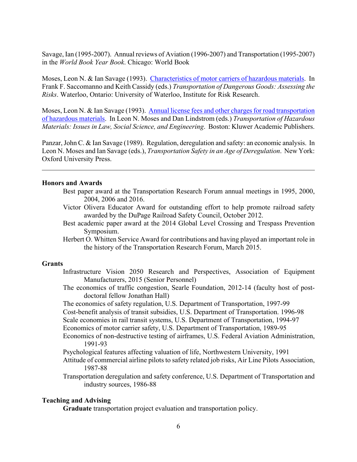Savage, Ian (1995-2007). Annual reviews of Aviation (1996-2007) and Transportation (1995-2007) in the *World Book Year Book*. Chicago: World Book

Moses, Leon N. & Ian Savage (1993). [Characteristics of motor carriers of hazardous](http://faculty.wcas.northwestern.edu/%7Eipsavage/203-manuscript.pdf) materials. In Frank F. Saccomanno and Keith Cassidy (eds.) *Transportation of Dangerous Goods: Assessing the Risks*. Waterloo, Ontario: University of Waterloo, Institute for Risk Research.

Moses, Leon N. & Ian Savage (1993). [Annual license fees and other charges for road transportation](http://faculty.wcas.northwestern.edu/%7Eipsavage/202-manuscript.pdf)  [of hazardous materials.](http://faculty.wcas.northwestern.edu/%7Eipsavage/202-manuscript.pdf) In Leon N. Moses and Dan Lindstrom (eds.) *Transportation of Hazardous Materials: Issues in Law, Social Science, and Engineering*. Boston: Kluwer Academic Publishers.

Panzar, John C. & Ian Savage (1989). Regulation, deregulation and safety: an economic analysis. In Leon N. Moses and Ian Savage (eds.), *Transportation Safety in an Age of Deregulation*. New York: Oxford University Press.

## **Honors and Awards**

- Best paper award at the Transportation Research Forum annual meetings in 1995, 2000, 2004, 2006 and 2016.
- Victor Olivera Educator Award for outstanding effort to help promote railroad safety awarded by the DuPage Railroad Safety Council, October 2012.
- Best academic paper award at the 2014 Global Level Crossing and Trespass Prevention Symposium.
- Herbert O. Whitten Service Award for contributions and having played an important role in the history of the Transportation Research Forum, March 2015.

## **Grants**

- Infrastructure Vision 2050 Research and Perspectives, Association of Equipment Manufacturers, 2015 (Senior Personnel)
- The economics of traffic congestion, Searle Foundation, 2012-14 (faculty host of postdoctoral fellow Jonathan Hall)
- The economics of safety regulation, U.S. Department of Transportation, 1997-99
- Cost-benefit analysis of transit subsidies, U.S. Department of Transportation. 1996-98
- Scale economies in rail transit systems, U.S. Department of Transportation, 1994-97
- Economics of motor carrier safety, U.S. Department of Transportation, 1989-95
- Economics of non-destructive testing of airframes, U.S. Federal Aviation Administration, 1991-93
- Psychological features affecting valuation of life, Northwestern University, 1991
- Attitude of commercial airline pilots to safety related job risks, Air Line Pilots Association, 1987-88
- Transportation deregulation and safety conference, U.S. Department of Transportation and industry sources, 1986-88

### **Teaching and Advising**

**Graduate** transportation project evaluation and transportation policy.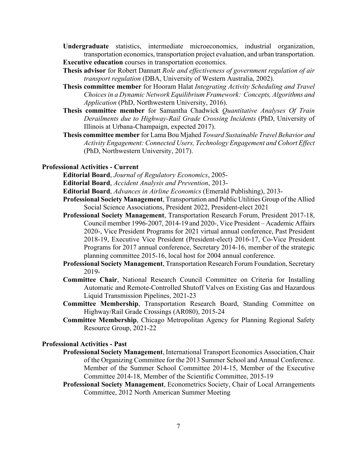- **Undergraduate** statistics, intermediate microeconomics, industrial organization, transportation economics, transportation project evaluation, and urban transportation. **Executive education** courses in transportation economics.
- **Thesis advisor** for Robert Dannatt *Role and effectiveness of government regulation of air transport regulation* (DBA, University of Western Australia, 2002).
- **Thesis committee member** for Hooram Halat *Integrating Activity Scheduling and Travel Choices in a Dynamic Network Equilibrium Framework: Concepts, Algorithms and Application* (PhD, Northwestern University, 2016).
- **Thesis committee member** for Samantha Chadwick *Quantitative Analyses Of Train Derailments due to Highway-Rail Grade Crossing Incidents* (PhD, University of Illinois at Urbana-Champaign, expected 2017).
- **Thesis committee member** for Lama Bou Mjahed *Toward Sustainable Travel Behavior and Activity Engagement: Connected Users, Technology Engagement and Cohort Effect* (PhD, Northwestern University, 2017).

# **Professional Activities - Current**

**Editorial Board**, *Journal of Regulatory Economics*, 2005-

**Editorial Board**, *Accident Analysis and Prevention*, 2013-

- **Editorial Board**, *Advances in Airline Economics* (Emerald Publishing), 2013-
- **Professional Society Management**, Transportation and Public Utilities Group of the Allied Social Science Associations, President 2022, President-elect 2021
- **Professional Society Management**, Transportation Research Forum, President 2017-18, Council member 1996-2007, 2014-19 and 2020-, Vice President – Academic Affairs 2020-, Vice President Programs for 2021 virtual annual conference, Past President 2018-19, Executive Vice President (President-elect) 2016-17, Co-Vice President Programs for 2017 annual conference, Secretary 2014-16, member of the strategic planning committee 2015-16, local host for 2004 annual conference.
- **Professional Society Management**, Transportation Research Forum Foundation, Secretary 2019-
- **Committee Chair**, National Research Council Committee on Criteria for Installing Automatic and Remote-Controlled Shutoff Valves on Existing Gas and Hazardous Liquid Transmission Pipelines, 2021-23
- **Committee Membership**, Transportation Research Board, Standing Committee on Highway/Rail Grade Crossings (AR080), 2015-24
- **Committee Membership**, Chicago Metropolitan Agency for Planning Regional Safety Resource Group, 2021-22

### **Professional Activities - Past**

- **Professional Society Management**, International Transport Economics Association, Chair of the Organizing Committee for the 2013 Summer School and Annual Conference. Member of the Summer School Committee 2014-15, Member of the Executive Committee 2014-18, Member of the Scientific Committee, 2015-19
- **Professional Society Management**, Econometrics Society, Chair of Local Arrangements Committee, 2012 North American Summer Meeting